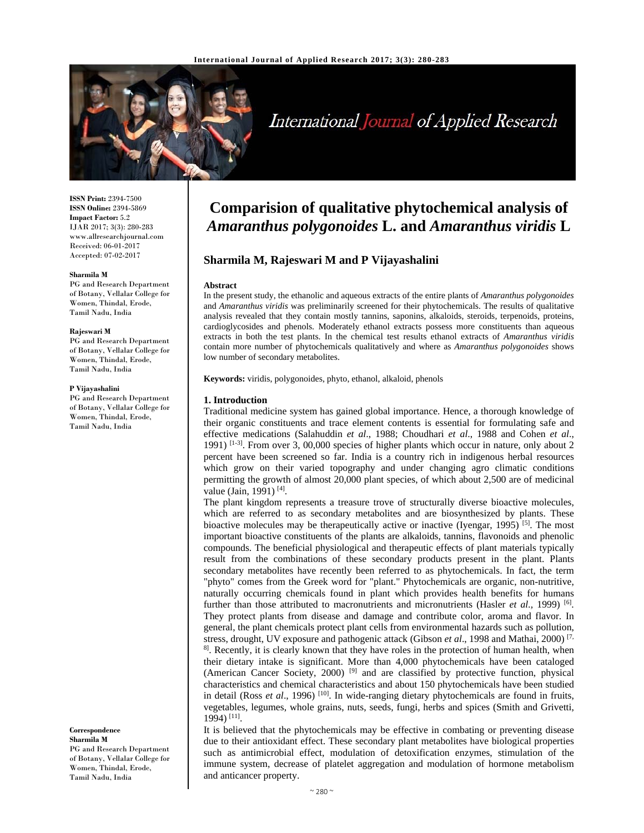

# International Journal of Applied Research

**ISSN Print:** 2394-7500 **ISSN Online:** 2394-5869 **Impact Factor:** 5.2 IJAR 2017; 3(3): 280-283 www.allresearchjournal.com Received: 06-01-2017 Accepted: 07-02-2017

#### **Sharmila M**

PG and Research Department of Botany, Vellalar College for Women, Thindal, Erode, Tamil Nadu, India

#### **Rajeswari M**

PG and Research Department of Botany, Vellalar College for Women, Thindal, Erode, Tamil Nadu, India

#### **P Vijayashalini**

PG and Research Department of Botany, Vellalar College for Women, Thindal, Erode, Tamil Nadu, India

**Correspondence Sharmila M**  PG and Research Department of Botany, Vellalar College for Women, Thindal, Erode, Tamil Nadu, India

## **Comparision of qualitative phytochemical analysis of**  *Amaranthus polygonoides* **L. and** *Amaranthus viridis* **L**

### **Sharmila M, Rajeswari M and P Vijayashalini**

#### **Abstract**

In the present study, the ethanolic and aqueous extracts of the entire plants of *Amaranthus polygonoides* and *Amaranthus viridis* was preliminarily screened for their phytochemicals. The results of qualitative analysis revealed that they contain mostly tannins, saponins, alkaloids, steroids, terpenoids, proteins, cardioglycosides and phenols. Moderately ethanol extracts possess more constituents than aqueous extracts in both the test plants. In the chemical test results ethanol extracts of *Amaranthus viridis*  contain more number of phytochemicals qualitatively and where as *Amaranthus polygonoides* shows low number of secondary metabolites.

**Keywords:** viridis, polygonoides, phyto, ethanol, alkaloid, phenols

#### **1. Introduction**

Traditional medicine system has gained global importance. Hence, a thorough knowledge of their organic constituents and trace element contents is essential for formulating safe and effective medications (Salahuddin *et al*., 1988; Choudhari *et al*., 1988 and Cohen *et al*., 1991) <sup>[1-3]</sup>. From over 3, 00,000 species of higher plants which occur in nature, only about 2 percent have been screened so far. India is a country rich in indigenous herbal resources which grow on their varied topography and under changing agro climatic conditions permitting the growth of almost 20,000 plant species, of which about 2,500 are of medicinal value (Jain, 1991) [4].

The plant kingdom represents a treasure trove of structurally diverse bioactive molecules, which are referred to as secondary metabolites and are biosynthesized by plants. These bioactive molecules may be therapeutically active or inactive (Iyengar, 1995)  $[5]$ . The most important bioactive constituents of the plants are alkaloids, tannins, flavonoids and phenolic compounds. The beneficial physiological and therapeutic effects of plant materials typically result from the combinations of these secondary products present in the plant. Plants secondary metabolites have recently been referred to as phytochemicals. In fact, the term "phyto" comes from the Greek word for "plant." Phytochemicals are organic, non-nutritive, naturally occurring chemicals found in plant which provides health benefits for humans further than those attributed to macronutrients and micronutrients (Hasler *et al.*, 1999)<sup>[6]</sup>. They protect plants from disease and damage and contribute color, aroma and flavor. In general, the plant chemicals protect plant cells from environmental hazards such as pollution, stress, drought, UV exposure and pathogenic attack (Gibson *et al*., 1998 and Mathai, 2000) [7,  $8$ ]. Recently, it is clearly known that they have roles in the protection of human health, when their dietary intake is significant. More than 4,000 phytochemicals have been cataloged (American Cancer Society, 2000)<sup>[9]</sup> and are classified by protective function, physical characteristics and chemical characteristics and about 150 phytochemicals have been studied in detail (Ross et al., 1996) <sup>[10]</sup>. In wide-ranging dietary phytochemicals are found in fruits, vegetables, legumes, whole grains, nuts, seeds, fungi, herbs and spices (Smith and Grivetti, 1994) [11].

It is believed that the phytochemicals may be effective in combating or preventing disease due to their antioxidant effect. These secondary plant metabolites have biological properties such as antimicrobial effect, modulation of detoxification enzymes, stimulation of the immune system, decrease of platelet aggregation and modulation of hormone metabolism and anticancer property.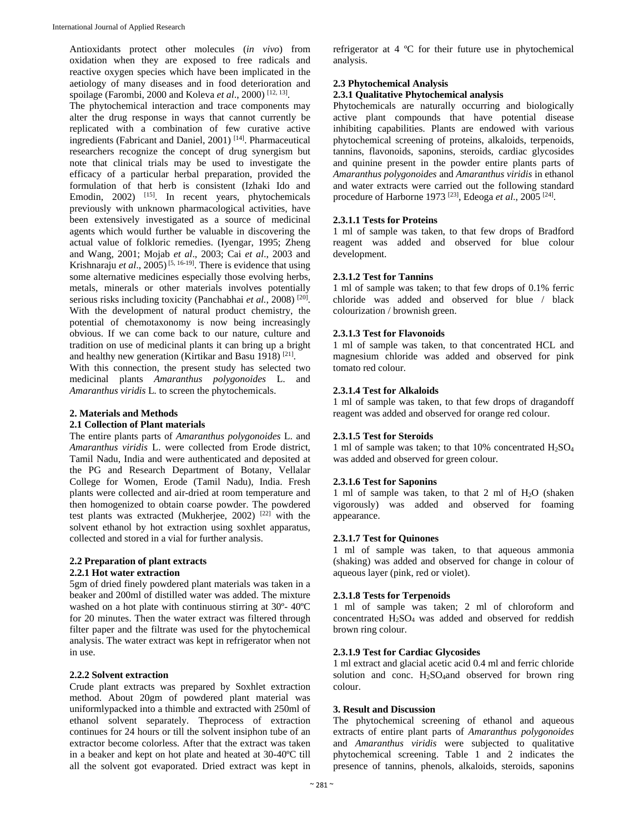Antioxidants protect other molecules (*in vivo*) from oxidation when they are exposed to free radicals and reactive oxygen species which have been implicated in the aetiology of many diseases and in food deterioration and spoilage (Farombi, 2000 and Koleva *et al*., 2000) [12, 13].

The phytochemical interaction and trace components may alter the drug response in ways that cannot currently be replicated with a combination of few curative active ingredients (Fabricant and Daniel, 2001) [14]. Pharmaceutical researchers recognize the concept of drug synergism but note that clinical trials may be used to investigate the efficacy of a particular herbal preparation, provided the formulation of that herb is consistent (Izhaki Ido and Emodin, 2002) <sup>[15]</sup>. In recent years, phytochemicals previously with unknown pharmacological activities, have been extensively investigated as a source of medicinal agents which would further be valuable in discovering the actual value of folkloric remedies. (Iyengar, 1995; Zheng and Wang, 2001; Mojab *et al*., 2003; Cai *et al*., 2003 and Krishnaraju *et al.*, 2005)<sup>[5, 16-19]. There is evidence that using</sup> some alternative medicines especially those evolving herbs, metals, minerals or other materials involves potentially serious risks including toxicity (Panchabhai *et al.*, 2008)<sup>[20]</sup>. With the development of natural product chemistry, the potential of chemotaxonomy is now being increasingly obvious. If we can come back to our nature, culture and tradition on use of medicinal plants it can bring up a bright and healthy new generation (Kirtikar and Basu 1918) [21].

With this connection, the present study has selected two medicinal plants *Amaranthus polygonoides* L. and *Amaranthus viridis* L*.* to screen the phytochemicals.

#### **2. Materials and Methods**

#### **2.1 Collection of Plant materials**

The entire plants parts of *Amaranthus polygonoides* L. and *Amaranthus viridis* L. were collected from Erode district, Tamil Nadu, India and were authenticated and deposited at the PG and Research Department of Botany, Vellalar College for Women, Erode (Tamil Nadu), India. Fresh plants were collected and air-dried at room temperature and then homogenized to obtain coarse powder. The powdered test plants was extracted (Mukherjee, 2002)  $[22]$  with the solvent ethanol by hot extraction using soxhlet apparatus, collected and stored in a vial for further analysis.

## **2.2 Preparation of plant extracts**

### **2.2.1 Hot water extraction**

5gm of dried finely powdered plant materials was taken in a beaker and 200ml of distilled water was added. The mixture washed on a hot plate with continuous stirring at 30º- 40ºC for 20 minutes. Then the water extract was filtered through filter paper and the filtrate was used for the phytochemical analysis. The water extract was kept in refrigerator when not in use.

#### **2.2.2 Solvent extraction**

Crude plant extracts was prepared by Soxhlet extraction method. About 20gm of powdered plant material was uniformlypacked into a thimble and extracted with 250ml of ethanol solvent separately. Theprocess of extraction continues for 24 hours or till the solvent insiphon tube of an extractor become colorless. After that the extract was taken in a beaker and kept on hot plate and heated at 30-40ºC till all the solvent got evaporated. Dried extract was kept in refrigerator at 4 ºC for their future use in phytochemical analysis.

#### **2.3 Phytochemical Analysis**

#### **2.3.1 Qualitative Phytochemical analysis**

Phytochemicals are naturally occurring and biologically active plant compounds that have potential disease inhibiting capabilities. Plants are endowed with various phytochemical screening of proteins, alkaloids, terpenoids, tannins, flavonoids, saponins, steroids, cardiac glycosides and quinine present in the powder entire plants parts of *Amaranthus polygonoides* and *Amaranthus viridis* in ethanol and water extracts were carried out the following standard procedure of Harborne 1973 [23], Edeoga *et al*., 2005 [24].

#### **2.3.1.1 Tests for Proteins**

1 ml of sample was taken, to that few drops of Bradford reagent was added and observed for blue colour development.

#### **2.3.1.2 Test for Tannins**

1 ml of sample was taken; to that few drops of 0.1% ferric chloride was added and observed for blue / black colourization / brownish green.

#### **2.3.1.3 Test for Flavonoids**

1 ml of sample was taken, to that concentrated HCL and magnesium chloride was added and observed for pink tomato red colour.

#### **2.3.1.4 Test for Alkaloids**

1 ml of sample was taken, to that few drops of dragandoff reagent was added and observed for orange red colour.

#### **2.3.1.5 Test for Steroids**

1 ml of sample was taken; to that  $10\%$  concentrated  $H_2SO_4$ was added and observed for green colour.

#### **2.3.1.6 Test for Saponins**

1 ml of sample was taken, to that 2 ml of  $H<sub>2</sub>O$  (shaken vigorously) was added and observed for foaming appearance.

#### **2.3.1.7 Test for Quinones**

1 ml of sample was taken, to that aqueous ammonia (shaking) was added and observed for change in colour of aqueous layer (pink, red or violet).

#### **2.3.1.8 Tests for Terpenoids**

1 ml of sample was taken; 2 ml of chloroform and concentrated H2SO4 was added and observed for reddish brown ring colour.

#### **2.3.1.9 Test for Cardiac Glycosides**

1 ml extract and glacial acetic acid 0.4 ml and ferric chloride solution and conc.  $H_2SO_4$  and observed for brown ring colour.

#### **3. Result and Discussion**

The phytochemical screening of ethanol and aqueous extracts of entire plant parts of *Amaranthus polygonoides* and *Amaranthus viridis* were subjected to qualitative phytochemical screening. Table 1 and 2 indicates the presence of tannins, phenols, alkaloids, steroids, saponins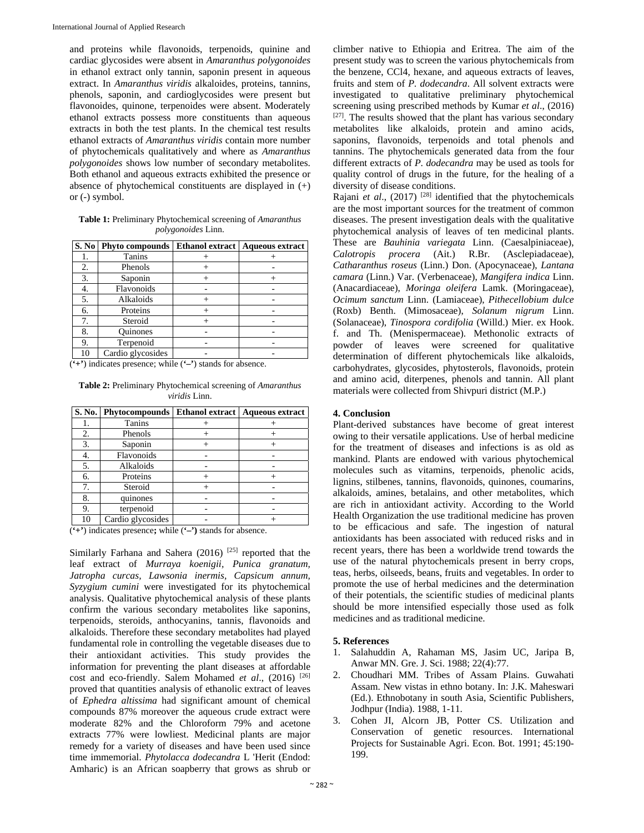and proteins while flavonoids, terpenoids, quinine and cardiac glycosides were absent in *Amaranthus polygonoides*  in ethanol extract only tannin, saponin present in aqueous extract. In *Amaranthus viridis* alkaloides, proteins, tannins, phenols, saponin, and cardioglycosides were present but flavonoides, quinone, terpenoides were absent. Moderately ethanol extracts possess more constituents than aqueous extracts in both the test plants. In the chemical test results ethanol extracts of *Amaranthus viridis* contain more number of phytochemicals qualitatively and where as *Amaranthus polygonoides* shows low number of secondary metabolites. Both ethanol and aqueous extracts exhibited the presence or absence of phytochemical constituents are displayed in (+) or (-) symbol.

**Table 1:** Preliminary Phytochemical screening of *Amaranthus polygonoides* Linn.

|    | S. No   Phyto compounds | Ethanol extract   Aqueous extract |
|----|-------------------------|-----------------------------------|
|    | Tanins                  |                                   |
| 2. | Phenols                 |                                   |
| 3. | Saponin                 |                                   |
| 4. | Flavonoids              |                                   |
| 5. | Alkaloids               |                                   |
| 6. | Proteins                |                                   |
| 7. | Steroid                 |                                   |
| 8. | Quinones                |                                   |
| 9. | Terpenoid               |                                   |
| 10 | Cardio glycosides       |                                   |

(**'+'**) indicates presence; while (**'–'**) stands for absence.

**Table 2:** Preliminary Phytochemical screening of *Amaranthus viridis* Linn.

|    | S. No.   Phytocompounds | Ethanol extract   Aqueous extract |
|----|-------------------------|-----------------------------------|
|    | Tanins                  |                                   |
| 2. | Phenols                 |                                   |
| 3. | Saponin                 |                                   |
| 4. | Flavonoids              |                                   |
| 5. | Alkaloids               |                                   |
| 6. | Proteins                |                                   |
| 7. | Steroid                 |                                   |
| 8. | quinones                |                                   |
| 9. | terpenoid               |                                   |
| 10 | Cardio glycosides       |                                   |

(**'+'**) indicates presence**;** while (**'–')** stands for absence.

Similarly Farhana and Sahera (2016)<sup>[25]</sup> reported that the leaf extract of *Murraya koenigii, Punica granatum, Jatropha curcas, Lawsonia inermis, Capsicum annum, Syzygium cumini* were investigated for its phytochemical analysis. Qualitative phytochemical analysis of these plants confirm the various secondary metabolites like saponins, terpenoids, steroids, anthocyanins, tannis, flavonoids and alkaloids. Therefore these secondary metabolites had played fundamental role in controlling the vegetable diseases due to their antioxidant activities. This study provides the information for preventing the plant diseases at affordable cost and eco-friendly. Salem Mohamed *et al.*, (2016) <sup>[26]</sup> proved that quantities analysis of ethanolic extract of leaves of *Ephedra altissima* had significant amount of chemical compounds 87% moreover the aqueous crude extract were moderate 82% and the Chloroform 79% and acetone extracts 77% were lowliest. Medicinal plants are major remedy for a variety of diseases and have been used since time immemorial. *Phytolacca dodecandra* L 'Herit (Endod: Amharic) is an African soapberry that grows as shrub or

climber native to Ethiopia and Eritrea. The aim of the present study was to screen the various phytochemicals from the benzene, CCl4, hexane, and aqueous extracts of leaves, fruits and stem of *P. dodecandra*. All solvent extracts were investigated to qualitative preliminary phytochemical screening using prescribed methods by Kumar *et al*., (2016) [27]. The results showed that the plant has various secondary metabolites like alkaloids, protein and amino acids, saponins, flavonoids, terpenoids and total phenols and tannins. The phytochemicals generated data from the four different extracts of *P. dodecandra* may be used as tools for quality control of drugs in the future, for the healing of a diversity of disease conditions.

Rajani *et al*., (2017) [28] identified that the phytochemicals are the most important sources for the treatment of common diseases. The present investigation deals with the qualitative phytochemical analysis of leaves of ten medicinal plants. These are *Bauhinia variegata* Linn. (Caesalpiniaceae), *Calotropis procera* (Ait.) R.Br. (Asclepiadaceae), *Catharanthus roseus* (Linn.) Don. (Apocynaceae), *Lantana camara* (Linn.) Var. (Verbenaceae), *Mangifera indica* Linn. (Anacardiaceae), *Moringa oleifera* Lamk. (Moringaceae), *Ocimum sanctum* Linn. (Lamiaceae), *Pithecellobium dulce* (Roxb) Benth. (Mimosaceae), *Solanum nigrum* Linn. (Solanaceae), *Tinospora cordifolia* (Willd.) Mier. ex Hook. f. and Th. (Menispermaceae). Methonolic extracts of powder of leaves were screened for qualitative determination of different phytochemicals like alkaloids, carbohydrates, glycosides, phytosterols, flavonoids, protein and amino acid, diterpenes, phenols and tannin. All plant materials were collected from Shivpuri district (M.P.)

#### **4. Conclusion**

Plant-derived substances have become of great interest owing to their versatile applications. Use of herbal medicine for the treatment of diseases and infections is as old as mankind. Plants are endowed with various phytochemical molecules such as vitamins, terpenoids, phenolic acids, lignins, stilbenes, tannins, flavonoids, quinones, coumarins, alkaloids, amines, betalains, and other metabolites, which are rich in antioxidant activity. According to the World Health Organization the use traditional medicine has proven to be efficacious and safe. The ingestion of natural antioxidants has been associated with reduced risks and in recent years, there has been a worldwide trend towards the use of the natural phytochemicals present in berry crops, teas, herbs, oilseeds, beans, fruits and vegetables. In order to promote the use of herbal medicines and the determination of their potentials, the scientific studies of medicinal plants should be more intensified especially those used as folk medicines and as traditional medicine.

#### **5. References**

- 1. Salahuddin A, Rahaman MS, Jasim UC, Jaripa B, Anwar MN. Gre. J. Sci. 1988; 22(4):77.
- 2. Choudhari MM. Tribes of Assam Plains. Guwahati Assam. New vistas in ethno botany. In: J.K. Maheswari (Ed.). Ethnobotany in south Asia, Scientific Publishers, Jodhpur (India). 1988, 1-11.
- 3. Cohen JI, Alcorn JB, Potter CS. Utilization and Conservation of genetic resources. International Projects for Sustainable Agri. Econ. Bot. 1991; 45:190- 199.